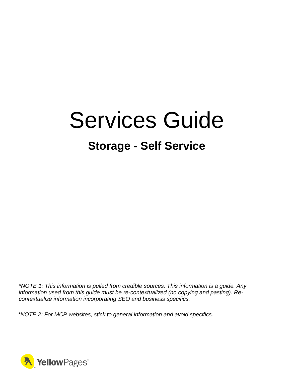# Services Guide

# **Storage - Self Service**

*\*NOTE 1: This information is pulled from credible sources. This information is a guide. Any information used from this guide must be re-contextualized (no copying and pasting). Recontextualize information incorporating SEO and business specifics.*

*\*NOTE 2: For MCP websites, stick to general information and avoid specifics.*

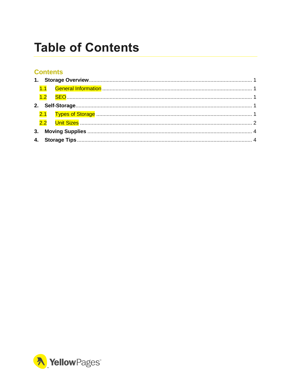# <span id="page-1-0"></span>**Table of Contents**

#### **Contents**

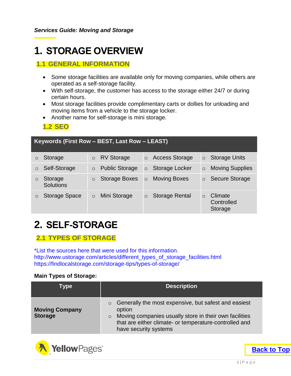# <span id="page-2-0"></span>**1. STORAGE OVERVIEW**

#### <span id="page-2-1"></span>**1.1 GENERAL INFORMATION**

- Some storage facilities are available only for moving companies, while others are operated as a self-storage facility.
- With self-storage, the customer has access to the storage either 24/7 or during certain hours.
- Most storage facilities provide complimentary carts or dollies for unloading and moving items from a vehicle to the storage locker.
- Another name for self-storage is mini storage.

<span id="page-2-2"></span>**1.2 SEO**

| Keywords (First Row - BEST, Last Row - LEAST) |                             |         |                       |         |                       |          |                                  |
|-----------------------------------------------|-----------------------------|---------|-----------------------|---------|-----------------------|----------|----------------------------------|
| O                                             | Storage                     | $\circ$ | <b>RV Storage</b>     | $\circ$ | <b>Access Storage</b> | $\circ$  | <b>Storage Units</b>             |
| $\circ$                                       | Self-Storage                | $\circ$ | <b>Public Storage</b> | $\circ$ | Storage Locker        | $\circ$  | <b>Moving Supplies</b>           |
| O                                             | Storage<br><b>Solutions</b> | $\circ$ | Storage Boxes         | $\circ$ | <b>Moving Boxes</b>   | $\circ$  | <b>Secure Storage</b>            |
| $\circ$                                       | <b>Storage Space</b>        | $\circ$ | Mini Storage          | $\circ$ | <b>Storage Rental</b> | $\Omega$ | Climate<br>Controlled<br>Storage |

## <span id="page-2-3"></span>**2. SELF-STORAGE**

#### <span id="page-2-4"></span>**2.1 TYPES OF STORAGE**

\*List the sources here that were used for this information. http://www.ustorage.com/articles/different\_types\_of\_storage\_facilities.html https://findlocalstorage.com/storage-tips/types-of-storage/

#### **Main Types of Storage:**

| Type                                    | <b>Description</b>                                                                                                                                                                                                                |
|-----------------------------------------|-----------------------------------------------------------------------------------------------------------------------------------------------------------------------------------------------------------------------------------|
| <b>Moving Company</b><br><b>Storage</b> | Generally the most expensive, but safest and easiest<br>$\circ$<br>option<br>Moving companies usually store in their own facilities<br>$\circ$<br>that are either climate- or temperature-controlled and<br>have security systems |



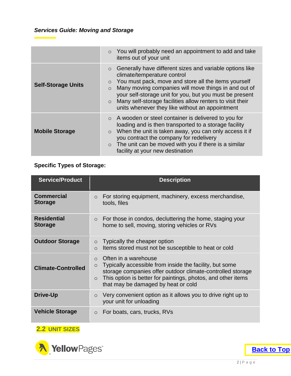|                           | $\circ$ You will probably need an appointment to add and take<br>items out of your unit                                                                                                                                                                                                                                                                                                                                        |
|---------------------------|--------------------------------------------------------------------------------------------------------------------------------------------------------------------------------------------------------------------------------------------------------------------------------------------------------------------------------------------------------------------------------------------------------------------------------|
| <b>Self-Storage Units</b> | Generally have different sizes and variable options like<br>$\circ$<br>climate/temperature control<br>You must pack, move and store all the items yourself<br>$\circ$<br>Many moving companies will move things in and out of<br>$\circ$<br>your self-storage unit for you, but you must be present<br>Many self-storage facilities allow renters to visit their<br>$\circ$<br>units whenever they like without an appointment |
| <b>Mobile Storage</b>     | $\circ$ A wooden or steel container is delivered to you for<br>loading and is then transported to a storage facility<br>When the unit is taken away, you can only access it if<br>$\circ$<br>you contract the company for redelivery<br>$\circ$ The unit can be moved with you if there is a similar<br>facility at your new destination                                                                                       |

#### **Specific Types of Storage:**

| <b>Service/Product</b>               | <b>Description</b>                                                                                                                                                                                                                                                                       |
|--------------------------------------|------------------------------------------------------------------------------------------------------------------------------------------------------------------------------------------------------------------------------------------------------------------------------------------|
| <b>Commercial</b><br><b>Storage</b>  | For storing equipment, machinery, excess merchandise,<br>$\circ$<br>tools, files                                                                                                                                                                                                         |
| <b>Residential</b><br><b>Storage</b> | For those in condos, decluttering the home, staging your<br>$\circ$<br>home to sell, moving, storing vehicles or RVs                                                                                                                                                                     |
| <b>Outdoor Storage</b>               | Typically the cheaper option<br>$\circ$<br>Items stored must not be susceptible to heat or cold<br>$\circ$                                                                                                                                                                               |
| <b>Climate-Controlled</b>            | Often in a warehouse<br>$\bigcirc$<br>Typically accessible from inside the facility, but some<br>$\circ$<br>storage companies offer outdoor climate-controlled storage<br>This option is better for paintings, photos, and other items<br>$\circ$<br>that may be damaged by heat or cold |
| Drive-Up                             | Very convenient option as it allows you to drive right up to<br>$\circ$<br>your unit for unloading                                                                                                                                                                                       |
| <b>Vehicle Storage</b>               | For boats, cars, trucks, RVs<br>$\circ$                                                                                                                                                                                                                                                  |

#### <span id="page-3-0"></span>**2.2 UNIT SIZES**

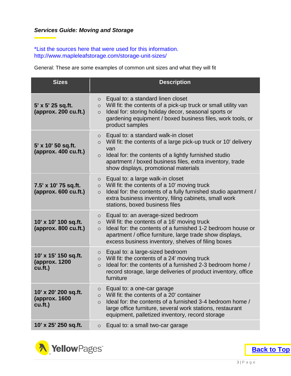#### *Services Guide: Moving and Storage*

#### \*List the sources here that were used for this information. http://www.mapleleafstorage.com/storage-unit-sizes/

General: These are some examples of common unit sizes and what they will fit

| <b>Sizes</b>                                       | <b>Description</b>                                                                                                                                                                                                                                                                                          |
|----------------------------------------------------|-------------------------------------------------------------------------------------------------------------------------------------------------------------------------------------------------------------------------------------------------------------------------------------------------------------|
| 5' x 5' 25 sq.ft.<br>(approx. 200 cu.ft.)          | Equal to: a standard linen closet<br>$\circ$<br>Will fit: the contents of a pick-up truck or small utility van<br>$\circ$<br>Ideal for: storing holiday decor, seasonal sports or<br>$\circ$<br>gardening equipment / boxed business files, work tools, or<br>product samples                               |
| 5' x 10' 50 sq.ft.<br>(approx. 400 cu.ft.)         | Equal to: a standard walk-in closet<br>$\circ$<br>Will fit: the contents of a large pick-up truck or 10' delivery<br>$\circ$<br>van<br>Ideal for: the contents of a lightly furnished studio<br>$\circ$<br>apartment / boxed business files, extra inventory, trade<br>show displays, promotional materials |
| 7.5' x 10' 75 sq.ft.<br>${\rm (approx.600\,cut.)}$ | Equal to: a large walk-in closet<br>$\circ$<br>Will fit: the contents of a 10' moving truck<br>$\circ$<br>Ideal for: the contents of a fully furnished studio apartment /<br>$\circ$<br>extra business inventory, filing cabinets, small work<br>stations, boxed business files                             |
| 10' x 10' 100 sq.ft.<br>(approx. 800 cu.ft.)       | Equal to: an average-sized bedroom<br>$\circ$<br>Will fit: the contents of a 16' moving truck<br>$\circ$<br>Ideal for: the contents of a furnished 1-2 bedroom house or<br>$\circ$<br>apartment / office furniture, large trade show displays,<br>excess business inventory, shelves of filing boxes        |
| 10' x 15' 150 sq.ft.<br>(approx. 1200<br>cu.ft.)   | Equal to: a large-sized bedroom<br>$\circ$<br>Will fit: the contents of a 24' moving truck<br>$\circ$<br>Ideal for: the contents of a furnished 2-3 bedroom home /<br>$\circ$<br>record storage, large deliveries of product inventory, office<br>furniture                                                 |
| 10' x 20' 200 sq.ft.<br>(approx. 1600<br>cu.ft.)   | Equal to: a one-car garage<br>Will fit: the contents of a 20' container<br>$\circ$<br>Ideal for: the contents of a furnished 3-4 bedroom home /<br>$\circ$<br>large office furniture, several work stations, restaurant<br>equipment, palletized inventory, record storage                                  |
| 10' x 25' 250 sq.ft.                               | Equal to: a small two-car garage<br>$\circ$                                                                                                                                                                                                                                                                 |



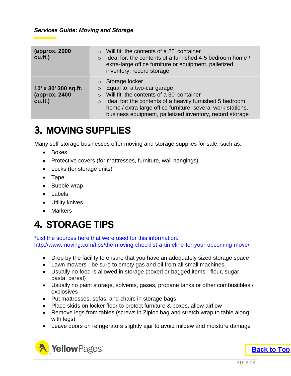| (approx. 2000)<br>$cu.f.$ )                      | Will fit: the contents of a 25' container<br>Ideal for: the contents of a furnished 4-5 bedroom home /<br>$\circ$<br>extra-large office furniture or equipment, palletized<br>inventory, record storage                                                                                                                       |
|--------------------------------------------------|-------------------------------------------------------------------------------------------------------------------------------------------------------------------------------------------------------------------------------------------------------------------------------------------------------------------------------|
| 10' x 30' 300 sq.ft.<br>(approx. 2400<br>cu.ft.) | Storage locker<br>$\circ$<br>Equal to: a two-car garage<br>$\circ$<br>Will fit: the contents of a 30' container<br>$\Omega$<br>Ideal for: the contents of a heavily furnished 5 bedroom<br>$\circ$<br>home / extra-large office furniture, several work stations,<br>business equipment, palletized inventory, record storage |

### <span id="page-5-0"></span>**3. MOVING SUPPLIES**

Many self-storage businesses offer moving and storage supplies for sale, such as:

- Boxes
- Protective covers (for mattresses, furniture, wall hangings)
- Locks (for storage units)
- Tape
- Bubble wrap
- Labels
- Utility knives
- Markers

# <span id="page-5-1"></span>**4. STORAGE TIPS**

\*List the sources here that were used for this information. http://www.moving.com/tips/the-moving-checklist-a-timeline-for-your-upcoming-move/

- Drop by the facility to ensure that you have an adequately sized storage space
- Lawn mowers be sure to empty gas and oil from all small machines
- Usually no food is allowed in storage (boxed or bagged items flour, sugar, pasta, cereal)
- Usually no paint storage, solvents, gases, propane tanks or other combustibles / explosives
- Put mattresses, sofas, and chairs in storage bags
- Place skids on locker floor to protect furniture & boxes, allow airflow
- Remove legs from tables (screws in Ziploc bag and stretch wrap to table along with legs)
- Leave doors on refrigerators slightly ajar to avoid mildew and moisture damage



**[Back to Top](#page-1-0)**